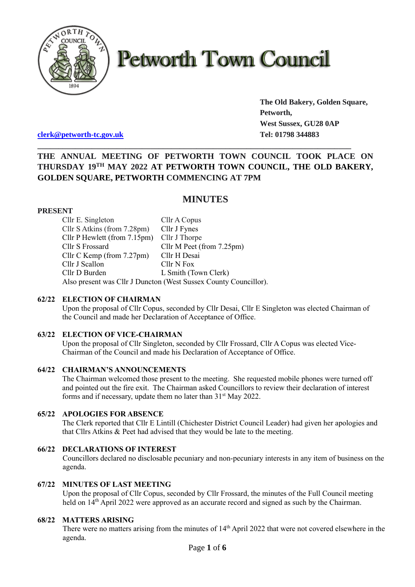

# **Petworth Town Council**

**The Old Bakery, Golden Square, Petworth, West Sussex, GU28 0AP**

**[clerk@petworth-tc.gov.uk](mailto:clerk@petworth-tc.gov.uk) Tel: 01798 344883**

# **THE ANNUAL MEETING OF PETWORTH TOWN COUNCIL TOOK PLACE ON THURSDAY 19 TH MAY 2022 AT PETWORTH TOWN COUNCIL, THE OLD BAKERY, GOLDEN SQUARE, PETWORTH COMMENCING AT 7PM**

**\_\_\_\_\_\_\_\_\_\_\_\_\_\_\_\_\_\_\_\_\_\_\_\_\_\_\_\_\_\_\_\_\_\_\_\_\_\_\_\_\_\_\_\_\_\_\_\_\_\_\_\_\_\_\_\_\_\_\_\_\_\_\_\_\_\_\_\_\_\_\_\_\_\_\_**

# **MINUTES**

# **PRESENT**

Cllr E. Singleton Cllr A Copus Cllr S Atkins (from 7.28pm) Cllr J Fynes Cllr P Hewlett (from 7.15pm) Cllr J Thorpe Cllr S Frossard Cllr M Peet (from 7.25pm) Cllr C Kemp (from 7.27pm) Cllr H Desai Cllr J Scallon Cllr N Fox Cllr D Burden L Smith (Town Clerk) Also present was Cllr J Duncton (West Sussex County Councillor).

#### **62/22 ELECTION OF CHAIRMAN**

Upon the proposal of Cllr Copus, seconded by Cllr Desai, Cllr E Singleton was elected Chairman of the Council and made her Declaration of Acceptance of Office.

#### **63/22 ELECTION OF VICE-CHAIRMAN**

Upon the proposal of Cllr Singleton, seconded by Cllr Frossard, Cllr A Copus was elected Vice-Chairman of the Council and made his Declaration of Acceptance of Office.

#### **64/22 CHAIRMAN'S ANNOUNCEMENTS**

The Chairman welcomed those present to the meeting. She requested mobile phones were turned off and pointed out the fire exit. The Chairman asked Councillors to review their declaration of interest forms and if necessary, update them no later than 31<sup>st</sup> May 2022.

# **65/22 APOLOGIES FOR ABSENCE**

The Clerk reported that Cllr E Lintill (Chichester District Council Leader) had given her apologies and that Cllrs Atkins & Peet had advised that they would be late to the meeting.

#### **66/22 DECLARATIONS OF INTEREST**

Councillors declared no disclosable pecuniary and non-pecuniary interests in any item of business on the agenda.

# **67/22 MINUTES OF LAST MEETING**

Upon the proposal of Cllr Copus, seconded by Cllr Frossard, the minutes of the Full Council meeting held on 14<sup>th</sup> April 2022 were approved as an accurate record and signed as such by the Chairman.

# **68/22 MATTERS ARISING**

There were no matters arising from the minutes of  $14<sup>th</sup>$  April 2022 that were not covered elsewhere in the agenda.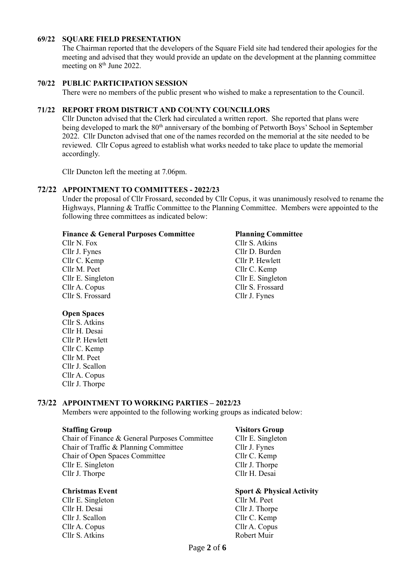#### **69/22 SQUARE FIELD PRESENTATION**

The Chairman reported that the developers of the Square Field site had tendered their apologies for the meeting and advised that they would provide an update on the development at the planning committee meeting on  $8<sup>th</sup>$  June 2022.

#### **70/22 PUBLIC PARTICIPATION SESSION**

There were no members of the public present who wished to make a representation to the Council.

# **71/22 REPORT FROM DISTRICT AND COUNTY COUNCILLORS**

Cllr Duncton advised that the Clerk had circulated a written report. She reported that plans were being developed to mark the 80<sup>th</sup> anniversary of the bombing of Petworth Boys' School in September 2022. Cllr Duncton advised that one of the names recorded on the memorial at the site needed to be reviewed. Cllr Copus agreed to establish what works needed to take place to update the memorial accordingly.

Cllr Duncton left the meeting at 7.06pm.

#### **72/22 APPOINTMENT TO COMMITTEES - 2022/23**

Under the proposal of Cllr Frossard, seconded by Cllr Copus, it was unanimously resolved to rename the Highways, Planning & Traffic Committee to the Planning Committee. Members were appointed to the following three committees as indicated below:

#### **Finance & General Purposes Committee Planning Committee**

Cllr N. Fox Cllr S. Atkins Cllr J. Fynes Cllr D. Burden Cllr C. Kemp Cllr P. Hewlett Cllr M. Peet Cllr C. Kemp Cllr S. Frossard Cllr J. Fynes

Cllr E. Singleton Cllr E. Singleton Cllr A. Copus Cllr S. Frossard

#### **Open Spaces**

Cllr S. Atkins Cllr H. Desai Cllr P. Hewlett Cllr C. Kemp Cllr M. Peet Cllr J. Scallon Cllr A. Copus Cllr J. Thorpe

#### **73/22 APPOINTMENT TO WORKING PARTIES – 2022/23**

Members were appointed to the following working groups as indicated below:

#### **Staffing Group Visitors Group**

Chair of Finance & General Purposes Committee Cllr E. Singleton Chair of Traffic & Planning Committee Cllr J. Fynes Chair of Open Spaces Committee Cllr C. Kemp Cllr E. Singleton Cllr J. Thorpe Cllr J. Thorpe Cllr H. Desai

- Cllr E. Singleton Cllr M. Peet Cllr H. Desai Cllr J. Thorpe Cllr J. Scallon Cllr C. Kemp Cllr A. Copus Cllr A. Copus Cllr S. Atkins Robert Muir
- 

#### **Christmas Event Sport & Physical Activity**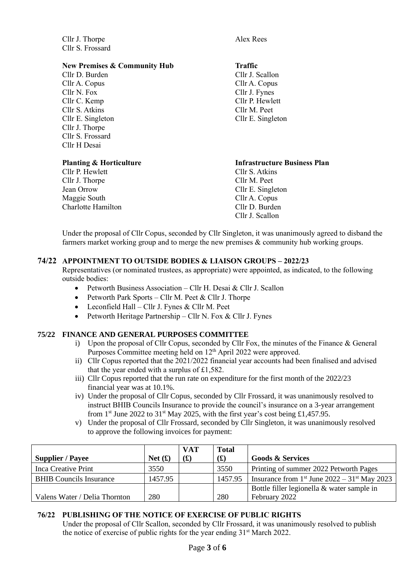Cllr J. Thorpe Alex Rees Cllr S. Frossard

#### **New Premises & Community Hub Traffic**

Cllr D. Burden Cllr J. Scallon Cllr A. Copus Cllr A. Copus Cllr N. Fox Cllr J. Fynes Cllr C. Kemp Cllr P. Hewlett Cllr S. Atkins Cllr M. Peet Cllr E. Singleton Cllr E. Singleton Cllr J. Thorpe Cllr S. Frossard Cllr H Desai

- Cllr P. Hewlett Cllr S. Atkins Cllr J. Thorpe Cllr M. Peet Jean Orrow Cllr E. Singleton Maggie South Cllr A. Copus Charlotte Hamilton Charlotte Hamilton
- 

### **Planting & Horticulture Infrastructure Business Plan**

Cllr J. Scallon

Under the proposal of Cllr Copus, seconded by Cllr Singleton, it was unanimously agreed to disband the farmers market working group and to merge the new premises & community hub working groups.

# **74/22 APPOINTMENT TO OUTSIDE BODIES & LIAISON GROUPS – 2022/23**

Representatives (or nominated trustees, as appropriate) were appointed, as indicated, to the following outside bodies:

- Petworth Business Association Cllr H. Desai & Cllr J. Scallon
- Petworth Park Sports Cllr M. Peet & Cllr J. Thorpe
- Leconfield Hall Cllr J. Fynes & Cllr M. Peet
- Petworth Heritage Partnership Cllr N. Fox  $&$  Cllr J. Fynes

# **75/22 FINANCE AND GENERAL PURPOSES COMMITTEE**

- i) Upon the proposal of Cllr Copus, seconded by Cllr Fox, the minutes of the Finance & General Purposes Committee meeting held on 12<sup>th</sup> April 2022 were approved.
- ii) Cllr Copus reported that the 2021/2022 financial year accounts had been finalised and advised that the year ended with a surplus of £1,582.
- iii) Cllr Copus reported that the run rate on expenditure for the first month of the 2022/23 financial year was at 10.1%.
- iv) Under the proposal of Cllr Copus, seconded by Cllr Frossard, it was unanimously resolved to instruct BHIB Councils Insurance to provide the council's insurance on a 3-year arrangement from 1<sup>st</sup> June 2022 to 31<sup>st</sup> May 2025, with the first year's cost being £1,457.95.
- v) Under the proposal of Cllr Frossard, seconded by Cllr Singleton, it was unanimously resolved to approve the following invoices for payment:

|                                |           | <b>VAT</b> | <b>Total</b> |                                                                        |
|--------------------------------|-----------|------------|--------------|------------------------------------------------------------------------|
| <b>Supplier / Payee</b>        | Net $(f)$ | f(x)       | f(x)         | <b>Goods &amp; Services</b>                                            |
| <b>Inca Creative Print</b>     | 3550      |            | 3550         | Printing of summer 2022 Petworth Pages                                 |
| <b>BHIB</b> Councils Insurance | 1457.95   |            | 1457.95      | Insurance from 1 <sup>st</sup> June $2022 - 31$ <sup>st</sup> May 2023 |
|                                |           |            |              | Bottle filler legionella & water sample in                             |
| Valens Water / Delia Thornton  | 280       |            | 280          | February 2022                                                          |

# **76/22 PUBLISHING OF THE NOTICE OF EXERCISE OF PUBLIC RIGHTS**

Under the proposal of Cllr Scallon, seconded by Cllr Frossard, it was unanimously resolved to publish the notice of exercise of public rights for the year ending  $31<sup>st</sup>$  March 2022.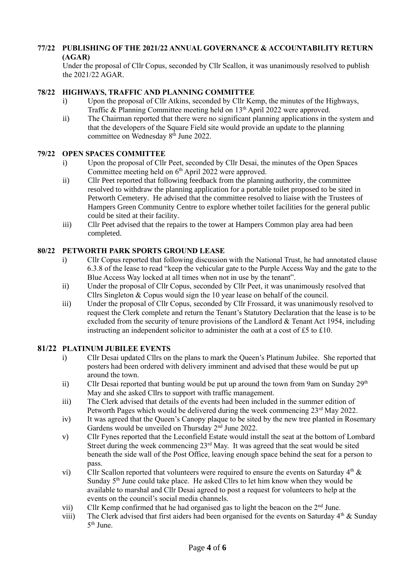### **77/22 PUBLISHING OF THE 2021/22 ANNUAL GOVERNANCE & ACCOUNTABILITY RETURN (AGAR)**

Under the proposal of Cllr Copus, seconded by Cllr Scallon, it was unanimously resolved to publish the 2021/22 AGAR.

# **78/22 HIGHWAYS, TRAFFIC AND PLANNING COMMITTEE**

- i) Upon the proposal of Cllr Atkins, seconded by Cllr Kemp, the minutes of the Highways, Traffic & Planning Committee meeting held on 13<sup>th</sup> April 2022 were approved.
- ii) The Chairman reported that there were no significant planning applications in the system and that the developers of the Square Field site would provide an update to the planning committee on Wednesday  $8<sup>th</sup>$  June 2022.

### **79/22 OPEN SPACES COMMITTEE**

- i) Upon the proposal of Cllr Peet, seconded by Cllr Desai, the minutes of the Open Spaces Committee meeting held on 6<sup>th</sup> April 2022 were approved.
- ii) Cllr Peet reported that following feedback from the planning authority, the committee resolved to withdraw the planning application for a portable toilet proposed to be sited in Petworth Cemetery. He advised that the committee resolved to liaise with the Trustees of Hampers Green Community Centre to explore whether toilet facilities for the general public could be sited at their facility.
- iii) Cllr Peet advised that the repairs to the tower at Hampers Common play area had been completed.

### **80/22 PETWORTH PARK SPORTS GROUND LEASE**

- i) Cllr Copus reported that following discussion with the National Trust, he had annotated clause 6.3.8 of the lease to read "keep the vehicular gate to the Purple Access Way and the gate to the Blue Access Way locked at all times when not in use by the tenant".
- ii) Under the proposal of Cllr Copus, seconded by Cllr Peet, it was unanimously resolved that Cllrs Singleton & Copus would sign the 10 year lease on behalf of the council.
- iii) Under the proposal of Cllr Copus, seconded by Cllr Frossard, it was unanimously resolved to request the Clerk complete and return the Tenant's Statutory Declaration that the lease is to be excluded from the security of tenure provisions of the Landlord & Tenant Act 1954, including instructing an independent solicitor to administer the oath at a cost of £5 to £10.

# **81/22 PLATINUM JUBILEE EVENTS**

- i) Cllr Desai updated Cllrs on the plans to mark the Queen's Platinum Jubilee. She reported that posters had been ordered with delivery imminent and advised that these would be put up around the town.
- ii) Cllr Desai reported that bunting would be put up around the town from 9am on Sunday  $29<sup>th</sup>$ May and she asked Cllrs to support with traffic management.
- iii) The Clerk advised that details of the events had been included in the summer edition of Petworth Pages which would be delivered during the week commencing 23<sup>rd</sup> May 2022.
- iv) It was agreed that the Queen's Canopy plaque to be sited by the new tree planted in Rosemary Gardens would be unveiled on Thursday 2<sup>nd</sup> June 2022.
- v) Cllr Fynes reported that the Leconfield Estate would install the seat at the bottom of Lombard Street during the week commencing  $23<sup>rd</sup>$  May. It was agreed that the seat would be sited beneath the side wall of the Post Office, leaving enough space behind the seat for a person to pass.
- vi) Cllr Scallon reported that volunteers were required to ensure the events on Saturday  $4<sup>th</sup>$  & Sunday  $5<sup>th</sup>$  June could take place. He asked Cllrs to let him know when they would be available to marshal and Cllr Desai agreed to post a request for volunteers to help at the events on the council's social media channels.
- vii) Cllr Kemp confirmed that he had organised gas to light the beacon on the  $2<sup>nd</sup>$  June.
- viii) The Clerk advised that first aiders had been organised for the events on Saturday  $4<sup>th</sup>$  & Sunday 5<sup>th</sup> June.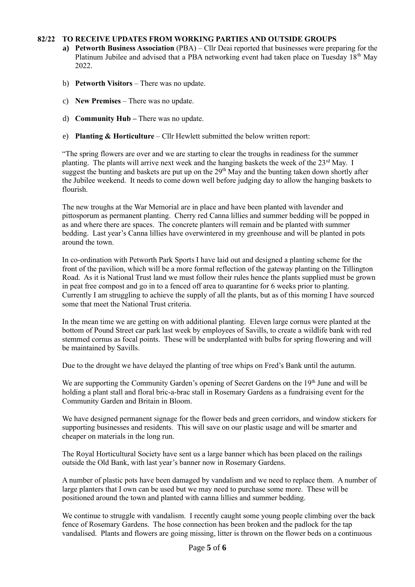### **82/22 TO RECEIVE UPDATES FROM WORKING PARTIES AND OUTSIDE GROUPS**

- **a) Petworth Business Association** (PBA) Cllr Deai reported that businesses were preparing for the Platinum Jubilee and advised that a PBA networking event had taken place on Tuesday 18<sup>th</sup> May 2022.
- b) **Petworth Visitors** There was no update.
- c) **New Premises** There was no update.
- d) **Community Hub –** There was no update.
- e) **Planting & Horticulture** Cllr Hewlett submitted the below written report:

"The spring flowers are over and we are starting to clear the troughs in readiness for the summer planting. The plants will arrive next week and the hanging baskets the week of the  $23<sup>rd</sup>$  May. I suggest the bunting and baskets are put up on the 29<sup>th</sup> May and the bunting taken down shortly after the Jubilee weekend. It needs to come down well before judging day to allow the hanging baskets to flourish.

The new troughs at the War Memorial are in place and have been planted with lavender and pittosporum as permanent planting. Cherry red Canna lillies and summer bedding will be popped in as and where there are spaces. The concrete planters will remain and be planted with summer bedding. Last year's Canna lillies have overwintered in my greenhouse and will be planted in pots around the town.

In co-ordination with Petworth Park Sports I have laid out and designed a planting scheme for the front of the pavilion, which will be a more formal reflection of the gateway planting on the Tillington Road. As it is National Trust land we must follow their rules hence the plants supplied must be grown in peat free compost and go in to a fenced off area to quarantine for 6 weeks prior to planting. Currently I am struggling to achieve the supply of all the plants, but as of this morning I have sourced some that meet the National Trust criteria.

In the mean time we are getting on with additional planting. Eleven large cornus were planted at the bottom of Pound Street car park last week by employees of Savills, to create a wildlife bank with red stemmed cornus as focal points. These will be underplanted with bulbs for spring flowering and will be maintained by Savills.

Due to the drought we have delayed the planting of tree whips on Fred's Bank until the autumn.

We are supporting the Community Garden's opening of Secret Gardens on the 19<sup>th</sup> June and will be holding a plant stall and floral bric-a-brac stall in Rosemary Gardens as a fundraising event for the Community Garden and Britain in Bloom.

We have designed permanent signage for the flower beds and green corridors, and window stickers for supporting businesses and residents. This will save on our plastic usage and will be smarter and cheaper on materials in the long run.

The Royal Horticultural Society have sent us a large banner which has been placed on the railings outside the Old Bank, with last year's banner now in Rosemary Gardens.

A number of plastic pots have been damaged by vandalism and we need to replace them. A number of large planters that I own can be used but we may need to purchase some more. These will be positioned around the town and planted with canna lillies and summer bedding.

We continue to struggle with vandalism. I recently caught some young people climbing over the back fence of Rosemary Gardens. The hose connection has been broken and the padlock for the tap vandalised. Plants and flowers are going missing, litter is thrown on the flower beds on a continuous